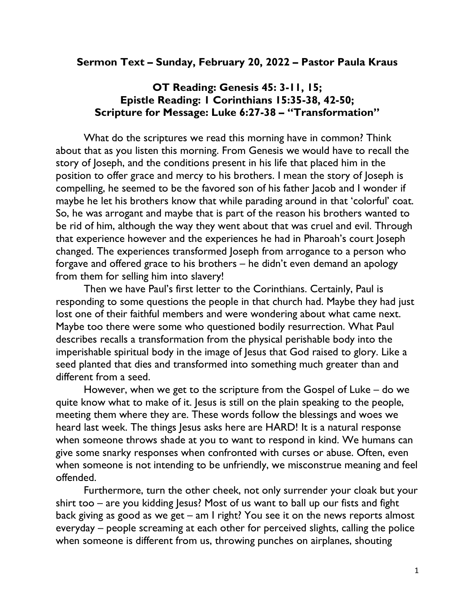## Sermon Text – Sunday, February 20, 2022 – Pastor Paula Kraus

## OT Reading: Genesis 45: 3-11, 15; Epistle Reading: 1 Corinthians 15:35-38, 42-50; Scripture for Message: Luke 6:27-38 – "Transformation"

What do the scriptures we read this morning have in common? Think about that as you listen this morning. From Genesis we would have to recall the story of Joseph, and the conditions present in his life that placed him in the position to offer grace and mercy to his brothers. I mean the story of Joseph is compelling, he seemed to be the favored son of his father Jacob and I wonder if maybe he let his brothers know that while parading around in that 'colorful' coat. So, he was arrogant and maybe that is part of the reason his brothers wanted to be rid of him, although the way they went about that was cruel and evil. Through that experience however and the experiences he had in Pharoah's court Joseph changed. The experiences transformed Joseph from arrogance to a person who forgave and offered grace to his brothers – he didn't even demand an apology from them for selling him into slavery!

Then we have Paul's first letter to the Corinthians. Certainly, Paul is responding to some questions the people in that church had. Maybe they had just lost one of their faithful members and were wondering about what came next. Maybe too there were some who questioned bodily resurrection. What Paul describes recalls a transformation from the physical perishable body into the imperishable spiritual body in the image of Jesus that God raised to glory. Like a seed planted that dies and transformed into something much greater than and different from a seed.

However, when we get to the scripture from the Gospel of Luke – do we quite know what to make of it. Jesus is still on the plain speaking to the people, meeting them where they are. These words follow the blessings and woes we heard last week. The things Jesus asks here are HARD! It is a natural response when someone throws shade at you to want to respond in kind. We humans can give some snarky responses when confronted with curses or abuse. Often, even when someone is not intending to be unfriendly, we misconstrue meaning and feel offended.

Furthermore, turn the other cheek, not only surrender your cloak but your shirt too – are you kidding Jesus? Most of us want to ball up our fists and fight back giving as good as we get – am I right? You see it on the news reports almost everyday – people screaming at each other for perceived slights, calling the police when someone is different from us, throwing punches on airplanes, shouting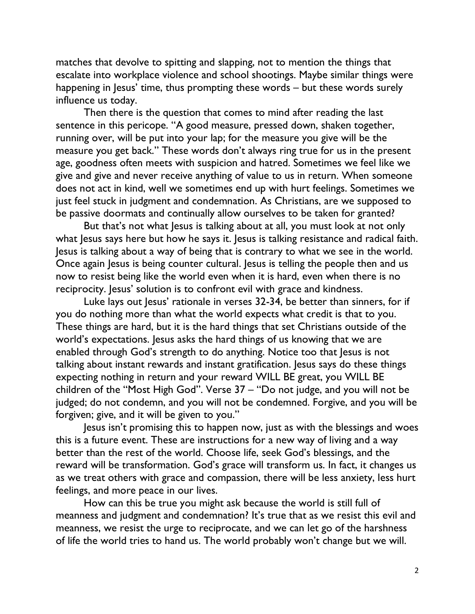matches that devolve to spitting and slapping, not to mention the things that escalate into workplace violence and school shootings. Maybe similar things were happening in Jesus' time, thus prompting these words – but these words surely influence us today.

Then there is the question that comes to mind after reading the last sentence in this pericope. "A good measure, pressed down, shaken together, running over, will be put into your lap; for the measure you give will be the measure you get back." These words don't always ring true for us in the present age, goodness often meets with suspicion and hatred. Sometimes we feel like we give and give and never receive anything of value to us in return. When someone does not act in kind, well we sometimes end up with hurt feelings. Sometimes we just feel stuck in judgment and condemnation. As Christians, are we supposed to be passive doormats and continually allow ourselves to be taken for granted?

But that's not what Jesus is talking about at all, you must look at not only what Jesus says here but how he says it. Jesus is talking resistance and radical faith. Jesus is talking about a way of being that is contrary to what we see in the world. Once again Jesus is being counter cultural. Jesus is telling the people then and us now to resist being like the world even when it is hard, even when there is no reciprocity. Jesus' solution is to confront evil with grace and kindness.

Luke lays out Jesus' rationale in verses 32-34, be better than sinners, for if you do nothing more than what the world expects what credit is that to you. These things are hard, but it is the hard things that set Christians outside of the world's expectations. Jesus asks the hard things of us knowing that we are enabled through God's strength to do anything. Notice too that Jesus is not talking about instant rewards and instant gratification. Jesus says do these things expecting nothing in return and your reward WILL BE great, you WILL BE children of the "Most High God". Verse 37 – "Do not judge, and you will not be judged; do not condemn, and you will not be condemned. Forgive, and you will be forgiven; give, and it will be given to you."

Jesus isn't promising this to happen now, just as with the blessings and woes this is a future event. These are instructions for a new way of living and a way better than the rest of the world. Choose life, seek God's blessings, and the reward will be transformation. God's grace will transform us. In fact, it changes us as we treat others with grace and compassion, there will be less anxiety, less hurt feelings, and more peace in our lives.

How can this be true you might ask because the world is still full of meanness and judgment and condemnation? It's true that as we resist this evil and meanness, we resist the urge to reciprocate, and we can let go of the harshness of life the world tries to hand us. The world probably won't change but we will.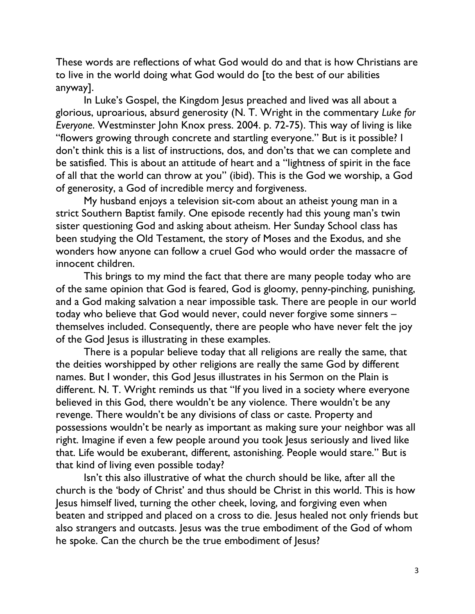These words are reflections of what God would do and that is how Christians are to live in the world doing what God would do [to the best of our abilities anyway].

In Luke's Gospel, the Kingdom Jesus preached and lived was all about a glorious, uproarious, absurd generosity (N. T. Wright in the commentary Luke for Everyone. Westminster John Knox press. 2004. p. 72-75). This way of living is like "flowers growing through concrete and startling everyone." But is it possible? I don't think this is a list of instructions, dos, and don'ts that we can complete and be satisfied. This is about an attitude of heart and a "lightness of spirit in the face of all that the world can throw at you" (ibid). This is the God we worship, a God of generosity, a God of incredible mercy and forgiveness.

My husband enjoys a television sit-com about an atheist young man in a strict Southern Baptist family. One episode recently had this young man's twin sister questioning God and asking about atheism. Her Sunday School class has been studying the Old Testament, the story of Moses and the Exodus, and she wonders how anyone can follow a cruel God who would order the massacre of innocent children.

This brings to my mind the fact that there are many people today who are of the same opinion that God is feared, God is gloomy, penny-pinching, punishing, and a God making salvation a near impossible task. There are people in our world today who believe that God would never, could never forgive some sinners – themselves included. Consequently, there are people who have never felt the joy of the God Jesus is illustrating in these examples.

There is a popular believe today that all religions are really the same, that the deities worshipped by other religions are really the same God by different names. But I wonder, this God Jesus illustrates in his Sermon on the Plain is different. N. T. Wright reminds us that "If you lived in a society where everyone believed in this God, there wouldn't be any violence. There wouldn't be any revenge. There wouldn't be any divisions of class or caste. Property and possessions wouldn't be nearly as important as making sure your neighbor was all right. Imagine if even a few people around you took Jesus seriously and lived like that. Life would be exuberant, different, astonishing. People would stare." But is that kind of living even possible today?

Isn't this also illustrative of what the church should be like, after all the church is the 'body of Christ' and thus should be Christ in this world. This is how Jesus himself lived, turning the other cheek, loving, and forgiving even when beaten and stripped and placed on a cross to die. Jesus healed not only friends but also strangers and outcasts. Jesus was the true embodiment of the God of whom he spoke. Can the church be the true embodiment of Jesus?